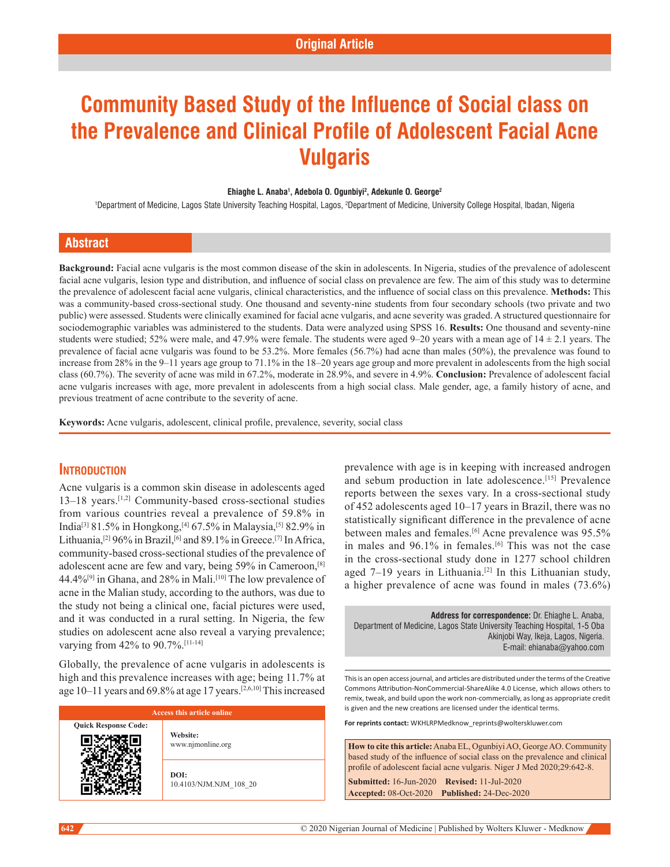# **Community Based Study of the Influence of Social class on the Prevalence and Clinical Profile of Adolescent Facial Acne Vulgaris**

#### **Ehiaghe L. Anaba1 , Adebola O. Ogunbiyi2 , Adekunle O. George2**

1 Department of Medicine, Lagos State University Teaching Hospital, Lagos, 2 Department of Medicine, University College Hospital, Ibadan, Nigeria

## **Abstract**

**Background:** Facial acne vulgaris is the most common disease of the skin in adolescents. In Nigeria, studies of the prevalence of adolescent facial acne vulgaris, lesion type and distribution, and influence of social class on prevalence are few. The aim of this study was to determine the prevalence of adolescent facial acne vulgaris, clinical characteristics, and the influence of social class on this prevalence. **Methods:** This was a community-based cross-sectional study. One thousand and seventy-nine students from four secondary schools (two private and two public) were assessed. Students were clinically examined for facial acne vulgaris, and acne severity was graded. A structured questionnaire for sociodemographic variables was administered to the students. Data were analyzed using SPSS 16. Results: One thousand and seventy-nine students were studied; 52% were male, and 47.9% were female. The students were aged 9–20 years with a mean age of  $14 \pm 2.1$  years. The prevalence of facial acne vulgaris was found to be 53.2%. More females (56.7%) had acne than males (50%), the prevalence was found to increase from 28% in the 9–11 years age group to 71.1% in the 18–20 years age group and more prevalent in adolescents from the high social class (60.7%). The severity of acne was mild in 67.2%, moderate in 28.9%, and severe in 4.9%. **Conclusion:** Prevalence of adolescent facial acne vulgaris increases with age, more prevalent in adolescents from a high social class. Male gender, age, a family history of acne, and previous treatment of acne contribute to the severity of acne.

**Keywords:** Acne vulgaris, adolescent, clinical profile, prevalence, severity, social class

## **Introduction**

Acne vulgaris is a common skin disease in adolescents aged 13–18 years.<sup>[1,2]</sup> Community-based cross-sectional studies from various countries reveal a prevalence of 59.8% in India[3] 81.5% in Hongkong,[4] 67.5% in Malaysia,[5] 82.9% in Lithuania,<sup>[2]</sup> 96% in Brazil,<sup>[6]</sup> and 89.1% in Greece.<sup>[7]</sup> In Africa, community-based cross-sectional studies of the prevalence of adolescent acne are few and vary, being 59% in Cameroon,[8] 44.4%<sup>[9]</sup> in Ghana, and 28% in Mali.<sup>[10]</sup> The low prevalence of acne in the Malian study, according to the authors, was due to the study not being a clinical one, facial pictures were used, and it was conducted in a rural setting. In Nigeria, the few studies on adolescent acne also reveal a varying prevalence; varying from 42% to 90.7%.[11-14]

Globally, the prevalence of acne vulgaris in adolescents is high and this prevalence increases with age; being 11.7% at age 10–11 years and 69.8% at age 17 years.[2,6,10] This increased

| Access this article online  |                                |  |  |
|-----------------------------|--------------------------------|--|--|
| <b>Quick Response Code:</b> | Website:<br>www.njmonline.org  |  |  |
|                             | DOI:<br>10.4103/NJM.NJM 108 20 |  |  |

prevalence with age is in keeping with increased androgen and sebum production in late adolescence.[15] Prevalence reports between the sexes vary. In a cross-sectional study of 452 adolescents aged 10–17 years in Brazil, there was no statistically significant difference in the prevalence of acne between males and females.<sup>[6]</sup> Acne prevalence was 95.5% in males and  $96.1\%$  in females.<sup>[6]</sup> This was not the case in the cross‑sectional study done in 1277 school children aged  $7-19$  years in Lithuania.<sup>[2]</sup> In this Lithuanian study, a higher prevalence of acne was found in males (73.6%)

**Address for correspondence:** Dr. Ehiaghe L. Anaba, Department of Medicine, Lagos State University Teaching Hospital, 1-5 Oba Akinjobi Way, Ikeja, Lagos, Nigeria. E-mail: ehianaba@yahoo.com

This is an open access journal, and articles are distributed under the terms of the Creative Commons Attribution‑NonCommercial‑ShareAlike 4.0 License, which allows others to remix, tweak, and build upon the work non‑commercially, as long as appropriate credit is given and the new creations are licensed under the identical terms.

**For reprints contact:** WKHLRPMedknow\_reprints@wolterskluwer.com

**How to cite this article:** Anaba EL, Ogunbiyi AO, George AO. Community based study of the influence of social class on the prevalence and clinical profile of adolescent facial acne vulgaris. Niger J Med 2020;29:642-8.

**Submitted:** 16-Jun-2020 **Revised:** 11-Jul-2020 **Accepted:** 08-Oct-2020 **Published:** 24-Dec-2020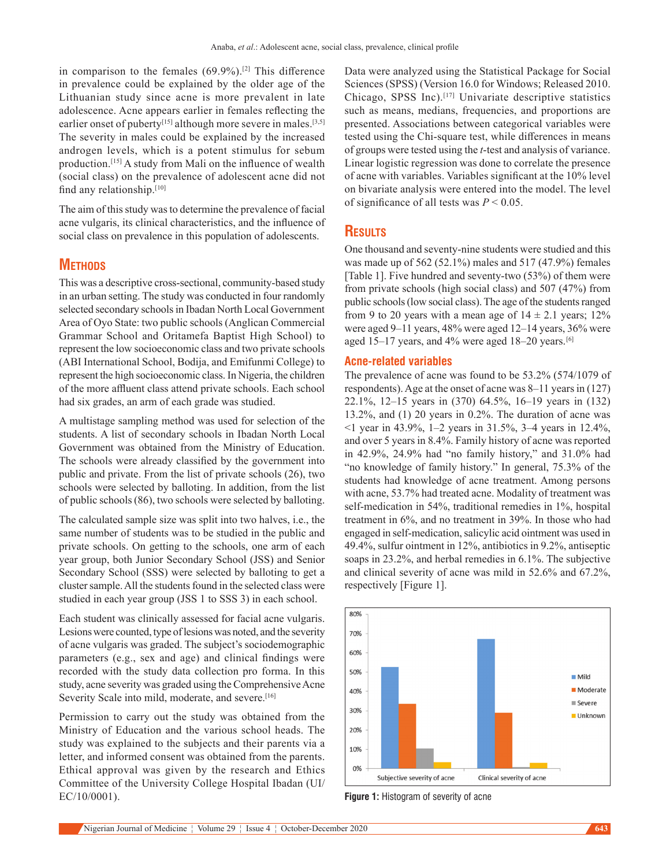in comparison to the females  $(69.9\%)$ <sup>[2]</sup> This difference in prevalence could be explained by the older age of the Lithuanian study since acne is more prevalent in late adolescence. Acne appears earlier in females reflecting the earlier onset of puberty<sup>[15]</sup> although more severe in males.<sup>[3,5]</sup> The severity in males could be explained by the increased androgen levels, which is a potent stimulus for sebum production.[15] A study from Mali on the influence of wealth (social class) on the prevalence of adolescent acne did not find any relationship.[10]

The aim of this study was to determine the prevalence of facial acne vulgaris, its clinical characteristics, and the influence of social class on prevalence in this population of adolescents.

## **METHODS**

This was a descriptive cross-sectional, community-based study in an urban setting. The study was conducted in four randomly selected secondary schools in Ibadan North Local Government Area of Oyo State: two public schools (Anglican Commercial Grammar School and Oritamefa Baptist High School) to represent the low socioeconomic class and two private schools (ABI International School, Bodija, and Emifunmi College) to represent the high socioeconomic class. In Nigeria, the children of the more affluent class attend private schools. Each school had six grades, an arm of each grade was studied.

A multistage sampling method was used for selection of the students. A list of secondary schools in Ibadan North Local Government was obtained from the Ministry of Education. The schools were already classified by the government into public and private. From the list of private schools (26), two schools were selected by balloting. In addition, from the list of public schools (86), two schools were selected by balloting.

The calculated sample size was split into two halves, i.e., the same number of students was to be studied in the public and private schools. On getting to the schools, one arm of each year group, both Junior Secondary School (JSS) and Senior Secondary School (SSS) were selected by balloting to get a cluster sample. All the students found in the selected class were studied in each year group (JSS 1 to SSS 3) in each school.

Each student was clinically assessed for facial acne vulgaris. Lesions were counted, type of lesions was noted, and the severity of acne vulgaris was graded. The subject's sociodemographic parameters (e.g., sex and age) and clinical findings were recorded with the study data collection pro forma. In this study, acne severity was graded using the Comprehensive Acne Severity Scale into mild, moderate, and severe.<sup>[16]</sup>

Permission to carry out the study was obtained from the Ministry of Education and the various school heads. The study was explained to the subjects and their parents via a letter, and informed consent was obtained from the parents. Ethical approval was given by the research and Ethics Committee of the University College Hospital Ibadan (UI/ EC/10/0001).

Data were analyzed using the Statistical Package for Social Sciences (SPSS) (Version 16.0 for Windows; Released 2010. Chicago, SPSS Inc).[17] Univariate descriptive statistics such as means, medians, frequencies, and proportions are presented. Associations between categorical variables were tested using the Chi‑square test, while differences in means of groups were tested using the *t*‑test and analysis of variance. Linear logistic regression was done to correlate the presence of acne with variables. Variables significant at the 10% level on bivariate analysis were entered into the model. The level of significance of all tests was *P* < 0.05.

## **Results**

One thousand and seventy-nine students were studied and this was made up of 562 (52.1%) males and 517 (47.9%) females [Table 1]. Five hundred and seventy-two (53%) of them were from private schools (high social class) and 507 (47%) from public schools (low social class). The age of the students ranged from 9 to 20 years with a mean age of  $14 \pm 2.1$  years; 12% were aged 9–11 years, 48% were aged 12–14 years, 36% were aged 15–17 years, and 4% were aged 18–20 years.<sup>[6]</sup>

#### **Acne-related variables**

The prevalence of acne was found to be 53.2% (574/1079 of respondents). Age at the onset of acne was 8–11 years in (127) 22.1%, 12–15 years in (370) 64.5%, 16–19 years in (132) 13.2%, and (1) 20 years in 0.2%. The duration of acne was <1 year in 43.9%, 1–2 years in 31.5%, 3–4 years in 12.4%, and over 5 years in 8.4%. Family history of acne was reported in 42.9%, 24.9% had "no family history," and 31.0% had "no knowledge of family history." In general, 75.3% of the students had knowledge of acne treatment. Among persons with acne, 53.7% had treated acne. Modality of treatment was self-medication in 54%, traditional remedies in 1%, hospital treatment in 6%, and no treatment in 39%. In those who had engaged in self‑medication, salicylic acid ointment was used in 49.4%, sulfur ointment in 12%, antibiotics in 9.2%, antiseptic soaps in 23.2%, and herbal remedies in 6.1%. The subjective and clinical severity of acne was mild in 52.6% and 67.2%, respectively [Figure 1].



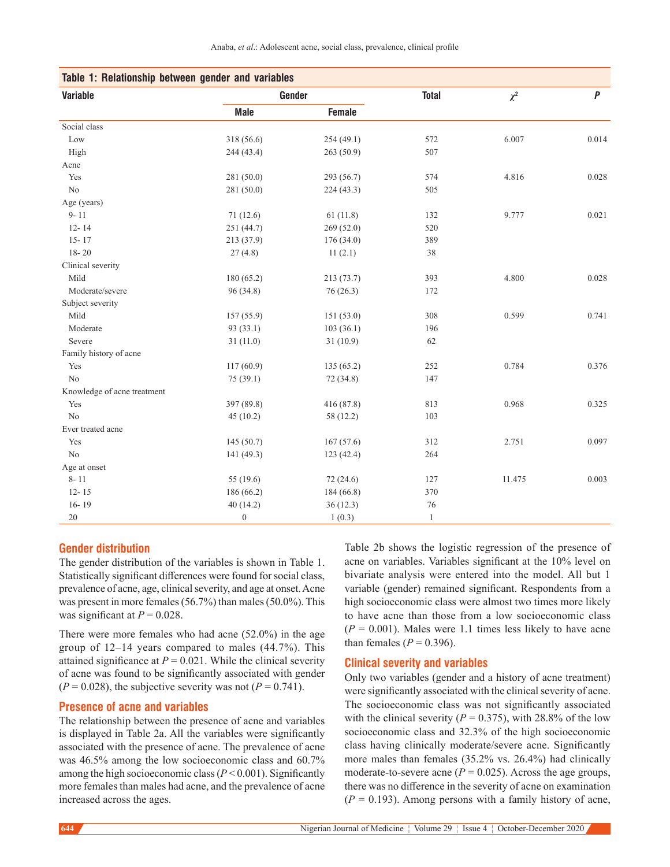| Table 1: Relationship between gender and variables |                |            |              |          |           |  |
|----------------------------------------------------|----------------|------------|--------------|----------|-----------|--|
| <b>Variable</b>                                    | Gender         |            | <b>Total</b> | $\chi^2$ | $\pmb{P}$ |  |
|                                                    | <b>Male</b>    | Female     |              |          |           |  |
| Social class                                       |                |            |              |          |           |  |
| Low                                                | 318 (56.6)     | 254 (49.1) | 572          | 6.007    | 0.014     |  |
| High                                               | 244 (43.4)     | 263(50.9)  | 507          |          |           |  |
| Acne                                               |                |            |              |          |           |  |
| Yes                                                | 281 (50.0)     | 293 (56.7) | 574          | 4.816    | 0.028     |  |
| N <sub>o</sub>                                     | 281 (50.0)     | 224(43.3)  | 505          |          |           |  |
| Age (years)                                        |                |            |              |          |           |  |
| $9 - 11$                                           | 71(12.6)       | 61(11.8)   | 132          | 9.777    | 0.021     |  |
| $12 - 14$                                          | 251 (44.7)     | 269 (52.0) | 520          |          |           |  |
| $15 - 17$                                          | 213 (37.9)     | 176(34.0)  | 389          |          |           |  |
| $18 - 20$                                          | 27(4.8)        | 11(2.1)    | 38           |          |           |  |
| Clinical severity                                  |                |            |              |          |           |  |
| Mild                                               | 180 (65.2)     | 213 (73.7) | 393          | 4.800    | 0.028     |  |
| Moderate/severe                                    | 96 (34.8)      | 76 (26.3)  | 172          |          |           |  |
| Subject severity                                   |                |            |              |          |           |  |
| Mild                                               | 157 (55.9)     | 151 (53.0) | 308          | 0.599    | 0.741     |  |
| Moderate                                           | 93 (33.1)      | 103(36.1)  | 196          |          |           |  |
| Severe                                             | 31(11.0)       | 31(10.9)   | 62           |          |           |  |
| Family history of acne                             |                |            |              |          |           |  |
| Yes                                                | 117(60.9)      | 135 (65.2) | 252          | 0.784    | 0.376     |  |
| No                                                 | 75 (39.1)      | 72 (34.8)  | 147          |          |           |  |
| Knowledge of acne treatment                        |                |            |              |          |           |  |
| Yes                                                | 397 (89.8)     | 416 (87.8) | 813          | 0.968    | 0.325     |  |
| No                                                 | 45(10.2)       | 58 (12.2)  | 103          |          |           |  |
| Ever treated acne                                  |                |            |              |          |           |  |
| Yes                                                | 145 (50.7)     | 167(57.6)  | 312          | 2.751    | 0.097     |  |
| $\rm No$                                           | 141 (49.3)     | 123 (42.4) | 264          |          |           |  |
| Age at onset                                       |                |            |              |          |           |  |
| $8 - 11$                                           | 55 (19.6)      | 72 (24.6)  | 127          | 11.475   | 0.003     |  |
| $12 - 15$                                          | 186 (66.2)     | 184 (66.8) | 370          |          |           |  |
| $16 - 19$                                          | 40(14.2)       | 36(12.3)   | 76           |          |           |  |
| $20\,$                                             | $\overline{0}$ | 1(0.3)     | $\mathbf{1}$ |          |           |  |

#### **Gender distribution**

The gender distribution of the variables is shown in Table 1. Statistically significant differences were found for social class, prevalence of acne, age, clinical severity, and age at onset. Acne was present in more females (56.7%) than males (50.0%). This was significant at  $P = 0.028$ .

There were more females who had acne (52.0%) in the age group of 12–14 years compared to males (44.7%). This attained significance at  $P = 0.021$ . While the clinical severity of acne was found to be significantly associated with gender  $(P = 0.028)$ , the subjective severity was not  $(P = 0.741)$ .

### **Presence of acne and variables**

The relationship between the presence of acne and variables is displayed in Table 2a. All the variables were significantly associated with the presence of acne. The prevalence of acne was 46.5% among the low socioeconomic class and 60.7% among the high socioeconomic class  $(P < 0.001)$ . Significantly more females than males had acne, and the prevalence of acne increased across the ages.

Table 2b shows the logistic regression of the presence of acne on variables. Variables significant at the 10% level on bivariate analysis were entered into the model. All but 1 variable (gender) remained significant. Respondents from a high socioeconomic class were almost two times more likely to have acne than those from a low socioeconomic class  $(P = 0.001)$ . Males were 1.1 times less likely to have acne than females  $(P = 0.396)$ .

#### **Clinical severity and variables**

Only two variables (gender and a history of acne treatment) were significantly associated with the clinical severity of acne. The socioeconomic class was not significantly associated with the clinical severity  $(P = 0.375)$ , with 28.8% of the low socioeconomic class and 32.3% of the high socioeconomic class having clinically moderate/severe acne. Significantly more males than females (35.2% vs. 26.4%) had clinically moderate-to-severe acne  $(P = 0.025)$ . Across the age groups, there was no difference in the severity of acne on examination  $(P = 0.193)$ . Among persons with a family history of acne,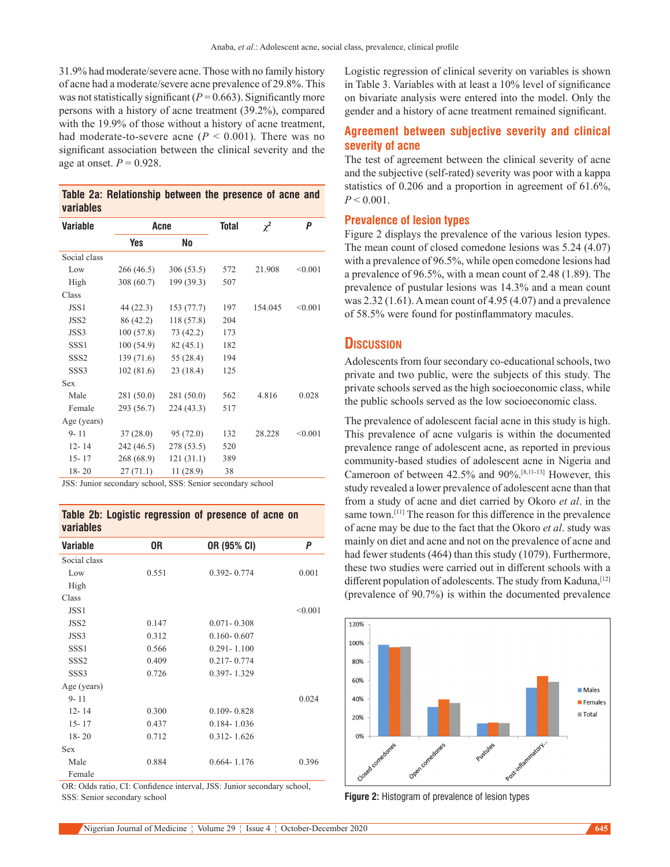31.9% had moderate/severe acne. Those with no family history of acne had a moderate/severe acne prevalence of 29.8%. This was not statistically significant  $(P=0.663)$ . Significantly more persons with a history of acne treatment (39.2%), compared with the 19.9% of those without a history of acne treatment, had moderate-to-severe acne  $(P < 0.001)$ . There was no significant association between the clinical severity and the age at onset.  $P = 0.928$ .

|           | Table 2a: Relationship between the presence of acne and |  |  |  |
|-----------|---------------------------------------------------------|--|--|--|
| variables |                                                         |  |  |  |

| <b>Variable</b>  | Acne       |            | <b>Total</b> | $\chi^2$ | P       |
|------------------|------------|------------|--------------|----------|---------|
|                  | <b>Yes</b> | No         |              |          |         |
| Social class     |            |            |              |          |         |
| Low              | 266 (46.5) | 306(53.5)  | 572          | 21.908   | < 0.001 |
| High             | 308 (60.7) | 199 (39.3) | 507          |          |         |
| Class            |            |            |              |          |         |
| JSS1             | 44 (22.3)  | 153(77.7)  | 197          | 154.045  | < 0.001 |
| JSS <sub>2</sub> | 86 (42.2)  | 118 (57.8) | 204          |          |         |
| JSS3             | 100(57.8)  | 73 (42.2)  | 173          |          |         |
| SSS <sub>1</sub> | 100 (54.9) | 82(45.1)   | 182          |          |         |
| SSS <sub>2</sub> | 139 (71.6) | 55 (28.4)  | 194          |          |         |
| SSS <sub>3</sub> | 102(81.6)  | 23 (18.4)  | 125          |          |         |
| Sex              |            |            |              |          |         |
| Male             | 281 (50.0) | 281 (50.0) | 562          | 4.816    | 0.028   |
| Female           | 293 (56.7) | 224 (43.3) | 517          |          |         |
| Age (years)      |            |            |              |          |         |
| $9 - 11$         | 37(28.0)   | 95 (72.0)  | 132          | 28.228   | < 0.001 |
| $12 - 14$        | 242 (46.5) | 278 (53.5) | 520          |          |         |
| $15 - 17$        | 268 (68.9) | 121(31.1)  | 389          |          |         |
| $18 - 20$        | 27(71.1)   | 11(28.9)   | 38           |          |         |

JSS: Junior secondary school, SSS: Senior secondary school

**Table 2b: Logistic regression of presence of acne on variables**

| Variable         | 0R    | OR (95% CI)     | Ρ       |
|------------------|-------|-----------------|---------|
| Social class     |       |                 |         |
| Low              | 0.551 | $0.392 - 0.774$ | 0.001   |
| High             |       |                 |         |
| Class            |       |                 |         |
| JSS1             |       |                 | < 0.001 |
| JSS <sub>2</sub> | 0.147 | $0.071 - 0.308$ |         |
| JSS3             | 0.312 | $0.160 - 0.607$ |         |
| SSS <sub>1</sub> | 0.566 | $0.291 - 1.100$ |         |
| SSS <sub>2</sub> | 0.409 | $0.217 - 0.774$ |         |
| SSS <sub>3</sub> | 0.726 | 0.397-1.329     |         |
| Age (years)      |       |                 |         |
| $9 - 11$         |       |                 | 0.024   |
| $12 - 14$        | 0.300 | $0.109 - 0.828$ |         |
| $15 - 17$        | 0.437 | $0.184 - 1.036$ |         |
| $18 - 20$        | 0.712 | $0.312 - 1.626$ |         |
| <b>Sex</b>       |       |                 |         |
| Male             | 0.884 | $0.664 - 1.176$ | 0.396   |
| Female           |       |                 |         |

OR: Odds ratio, CI: Confidence interval, JSS: Junior secondary school, SSS: Senior secondary school

Logistic regression of clinical severity on variables is shown in Table 3. Variables with at least a 10% level of significance on bivariate analysis were entered into the model. Only the gender and a history of acne treatment remained significant.

## **Agreement between subjective severity and clinical severity of acne**

The test of agreement between the clinical severity of acne and the subjective (self-rated) severity was poor with a kappa statistics of 0.206 and a proportion in agreement of 61.6%,  $P < 0.001$ .

### **Prevalence of lesion types**

Figure 2 displays the prevalence of the various lesion types. The mean count of closed comedone lesions was 5.24 (4.07) with a prevalence of 96.5%, while open comedone lesions had a prevalence of 96.5%, with a mean count of 2.48 (1.89). The prevalence of pustular lesions was 14.3% and a mean count was 2.32 (1.61). A mean count of 4.95 (4.07) and a prevalence of 58.5% were found for postinflammatory macules.

## **Discussion**

Adolescents from four secondary co‑educational schools, two private and two public, were the subjects of this study. The private schools served as the high socioeconomic class, while the public schools served as the low socioeconomic class.

The prevalence of adolescent facial acne in this study is high. This prevalence of acne vulgaris is within the documented prevalence range of adolescent acne, as reported in previous community‑based studies of adolescent acne in Nigeria and Cameroon of between 42.5% and 90%.[8,11-13] However, this study revealed a lower prevalence of adolescent acne than that from a study of acne and diet carried by Okoro *et al*. in the same town.[11] The reason for this difference in the prevalence of acne may be due to the fact that the Okoro *et al*. study was mainly on diet and acne and not on the prevalence of acne and had fewer students (464) than this study (1079). Furthermore, these two studies were carried out in different schools with a different population of adolescents. The study from Kaduna, [12] (prevalence of 90.7%) is within the documented prevalence



**Figure 2:** Histogram of prevalence of lesion types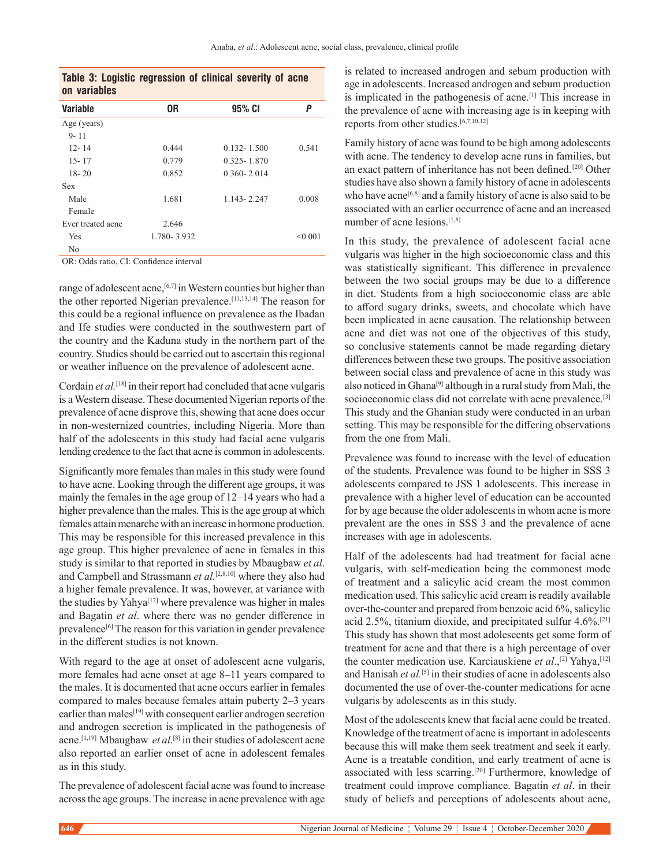| Table 3: Logistic regression of clinical severity of acne |  |  |
|-----------------------------------------------------------|--|--|
| on variables                                              |  |  |

| <b>Variable</b>   | 0R          | 95% CI          | Ρ       |
|-------------------|-------------|-----------------|---------|
| Age (years)       |             |                 |         |
| $9 - 11$          |             |                 |         |
| $12 - 14$         | 0.444       | $0.132 - 1.500$ | 0.541   |
| $15 - 17$         | 0.779       | $0.325 - 1.870$ |         |
| $18 - 20$         | 0.852       | $0.360 - 2.014$ |         |
| Sex               |             |                 |         |
| Male              | 1.681       | 1.143-2.247     | 0.008   |
| Female            |             |                 |         |
| Ever treated acne | 2.646       |                 |         |
| Yes               | 1.780-3.932 |                 | < 0.001 |
| No                |             |                 |         |

OR: Odds ratio, CI: Confidence interval

range of adolescent acne,<sup>[6,7]</sup> in Western counties but higher than the other reported Nigerian prevalence.<sup>[11,13,14]</sup> The reason for this could be a regional influence on prevalence as the Ibadan and Ife studies were conducted in the southwestern part of the country and the Kaduna study in the northern part of the country. Studies should be carried out to ascertain this regional or weather influence on the prevalence of adolescent acne.

Cordain *et al.* [18] in their report had concluded that acne vulgaris is a Western disease. These documented Nigerian reports of the prevalence of acne disprove this, showing that acne does occur in non-westernized countries, including Nigeria. More than half of the adolescents in this study had facial acne vulgaris lending credence to the fact that acne is common in adolescents.

Significantly more females than males in this study were found to have acne. Looking through the different age groups, it was mainly the females in the age group of 12–14 years who had a higher prevalence than the males. This is the age group at which females attain menarche with an increase in hormone production. This may be responsible for this increased prevalence in this age group. This higher prevalence of acne in females in this study is similar to that reported in studies by Mbaugbaw *et al*. and Campbell and Strassmann *et al.*[2,8,10] where they also had a higher female prevalence. It was, however, at variance with the studies by Yahya<sup>[12]</sup> where prevalence was higher in males and Bagatin *et al*. where there was no gender difference in prevalence<sup>[6]</sup> The reason for this variation in gender prevalence in the different studies is not known.

With regard to the age at onset of adolescent acne vulgaris, more females had acne onset at age 8–11 years compared to the males. It is documented that acne occurs earlier in females compared to males because females attain puberty 2–3 years earlier than males<sup>[19]</sup> with consequent earlier androgen secretion and androgen secretion is implicated in the pathogenesis of acne.[1,19]  Mbaugbaw *et al*. [8] in their studies of adolescent acne also reported an earlier onset of acne in adolescent females as in this study.

The prevalence of adolescent facial acne was found to increase across the age groups. The increase in acne prevalence with age is related to increased androgen and sebum production with age in adolescents. Increased androgen and sebum production is implicated in the pathogenesis of acne.[1] This increase in the prevalence of acne with increasing age is in keeping with reports from other studies.<sup>[6,7,10,12]</sup>

Family history of acne was found to be high among adolescents with acne. The tendency to develop acne runs in families, but an exact pattern of inheritance has not been defined. [20] Other studies have also shown a family history of acne in adolescents who have acne<sup>[6,8]</sup> and a family history of acne is also said to be associated with an earlier occurrence of acne and an increased number of acne lesions.[1,8]

In this study, the prevalence of adolescent facial acne vulgaris was higher in the high socioeconomic class and this was statistically significant. This difference in prevalence between the two social groups may be due to a difference in diet. Students from a high socioeconomic class are able to afford sugary drinks, sweets, and chocolate which have been implicated in acne causation. The relationship between acne and diet was not one of the objectives of this study, so conclusive statements cannot be made regarding dietary differences between these two groups. The positive association between social class and prevalence of acne in this study was also noticed in Ghana<sup>[9]</sup> although in a rural study from Mali, the socioeconomic class did not correlate with acne prevalence.<sup>[3]</sup> This study and the Ghanian study were conducted in an urban setting. This may be responsible for the differing observations from the one from Mali.

Prevalence was found to increase with the level of education of the students. Prevalence was found to be higher in SSS 3 adolescents compared to JSS 1 adolescents. This increase in prevalence with a higher level of education can be accounted for by age because the older adolescents in whom acne is more prevalent are the ones in SSS 3 and the prevalence of acne increases with age in adolescents.

Half of the adolescents had had treatment for facial acne vulgaris, with self-medication being the commonest mode of treatment and a salicylic acid cream the most common medication used. This salicylic acid cream is readily available over-the-counter and prepared from benzoic acid 6%, salicylic acid 2.5%, titanium dioxide, and precipitated sulfur 4.6%.[21] This study has shown that most adolescents get some form of treatment for acne and that there is a high percentage of over the counter medication use. Karciauskiene *et al*.,[2] Yahya,[12] and Hanisah *et al.* [5] in their studies of acne in adolescents also documented the use of over-the-counter medications for acne vulgaris by adolescents as in this study.

Most of the adolescents knew that facial acne could be treated. Knowledge of the treatment of acne is important in adolescents because this will make them seek treatment and seek it early. Acne is a treatable condition, and early treatment of acne is associated with less scarring.<sup>[20]</sup> Furthermore, knowledge of treatment could improve compliance. Bagatin *et al*. in their study of beliefs and perceptions of adolescents about acne,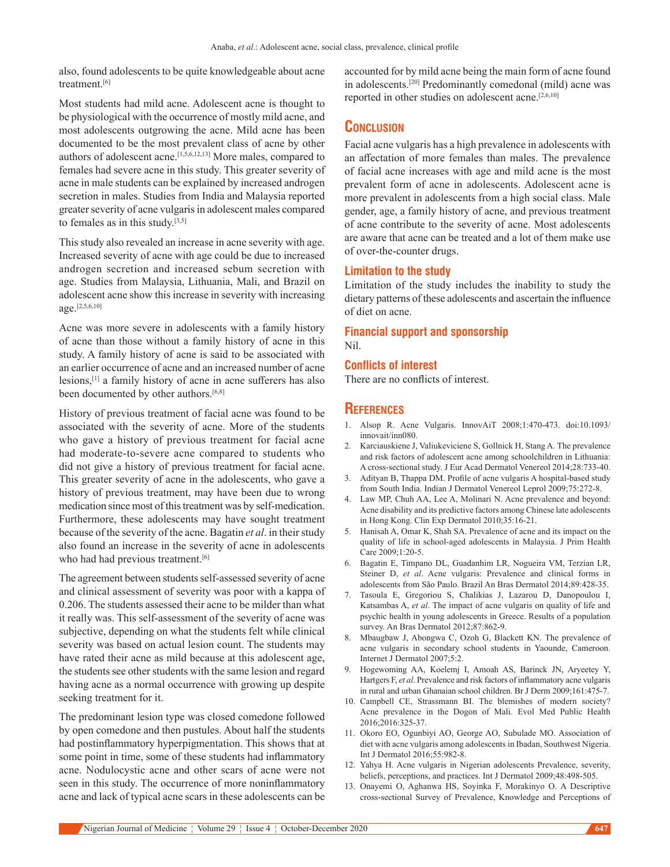also, found adolescents to be quite knowledgeable about acne treatment.[6]

Most students had mild acne. Adolescent acne is thought to be physiological with the occurrence of mostly mild acne, and most adolescents outgrowing the acne. Mild acne has been documented to be the most prevalent class of acne by other authors of adolescent acne.[1,5,6,12,13] More males, compared to females had severe acne in this study. This greater severity of acne in male students can be explained by increased androgen secretion in males. Studies from India and Malaysia reported greater severity of acne vulgaris in adolescent males compared to females as in this study.[3,5]

This study also revealed an increase in acne severity with age. Increased severity of acne with age could be due to increased androgen secretion and increased sebum secretion with age. Studies from Malaysia, Lithuania, Mali, and Brazil on adolescent acne show this increase in severity with increasing age.[2,5,6,10]

Acne was more severe in adolescents with a family history of acne than those without a family history of acne in this study. A family history of acne is said to be associated with an earlier occurrence of acne and an increased number of acne lesions,[1] a family history of acne in acne sufferers has also been documented by other authors.<sup>[6,8]</sup>

History of previous treatment of facial acne was found to be associated with the severity of acne. More of the students who gave a history of previous treatment for facial acne had moderate-to-severe acne compared to students who did not give a history of previous treatment for facial acne. This greater severity of acne in the adolescents, who gave a history of previous treatment, may have been due to wrong medication since most of this treatment was by self-medication. Furthermore, these adolescents may have sought treatment because of the severity of the acne. Bagatin *et al*. in their study also found an increase in the severity of acne in adolescents who had had previous treatment.<sup>[6]</sup>

The agreement between students self‑assessed severity of acne and clinical assessment of severity was poor with a kappa of 0.206. The students assessed their acne to be milder than what it really was. This self‑assessment of the severity of acne was subjective, depending on what the students felt while clinical severity was based on actual lesion count. The students may have rated their acne as mild because at this adolescent age, the students see other students with the same lesion and regard having acne as a normal occurrence with growing up despite seeking treatment for it.

The predominant lesion type was closed comedone followed by open comedone and then pustules. About half the students had postinflammatory hyperpigmentation. This shows that at some point in time, some of these students had inflammatory acne. Nodulocystic acne and other scars of acne were not seen in this study. The occurrence of more noninflammatory acne and lack of typical acne scars in these adolescents can be

accounted for by mild acne being the main form of acne found in adolescents.<sup>[20]</sup> Predominantly comedonal (mild) acne was reported in other studies on adolescent acne.<sup>[2,6,10]</sup>

## **Conclusion**

Facial acne vulgaris has a high prevalence in adolescents with an affectation of more females than males. The prevalence of facial acne increases with age and mild acne is the most prevalent form of acne in adolescents. Adolescent acne is more prevalent in adolescents from a high social class. Male gender, age, a family history of acne, and previous treatment of acne contribute to the severity of acne. Most adolescents are aware that acne can be treated and a lot of them make use of over-the-counter drugs.

#### **Limitation to the study**

Limitation of the study includes the inability to study the dietary patterns of these adolescents and ascertain the influence of diet on acne.

#### **Financial support and sponsorship** Nil.

#### **Conflicts of interest**

There are no conflicts of interest.

## **References**

- 1. Alsop R. Acne Vulgaris. InnovAiT 2008;1:470-473. doi:10.1093/ innovait/inn080.
- 2. Karciauskiene J, Valiukeviciene S, Gollnick H, Stang A. The prevalence and risk factors of adolescent acne among schoolchildren in Lithuania: A cross‑sectional study. J Eur Acad Dermatol Venereol 2014;28:733‑40.
- 3. Adityan B, Thappa DM. Profile of acne vulgaris A hospital-based study from South India. Indian J Dermatol Venereol Leprol 2009;75:272-8.
- 4. Law MP, Chuh AA, Lee A, Molinari N. Acne prevalence and beyond: Acne disability and its predictive factors among Chinese late adolescents in Hong Kong. Clin Exp Dermatol 2010;35:16‑21.
- 5. Hanisah A, Omar K, Shah SA. Prevalence of acne and its impact on the quality of life in school‑aged adolescents in Malaysia. J Prim Health Care 2009;1:20-5.
- 6. Bagatin E, Timpano DL, Guadanhim LR, Nogueira VM, Terzian LR, Steiner D, *et al*. Acne vulgaris: Prevalence and clinical forms in adolescents from São Paulo. Brazil An Bras Dermatol 2014;89:428‑35.
- 7. Tasoula E, Gregoriou S, Chalikias J, Lazarou D, Danopoulou I, Katsambas A, *et al*. The impact of acne vulgaris on quality of life and psychic health in young adolescents in Greece. Results of a population survey. An Bras Dermatol 2012;87:862-9.
- 8. Mbaugbaw J, Abongwa C, Ozoh G, Blackett KN. The prevalence of acne vulgaris in secondary school students in Yaounde, Cameroon. Internet J Dermatol 2007;5:2.
- 9. Hogewoming AA, Koelemj I, Amoah AS, Barinck JN, Aryeetey Y, Hartgers F, *et al*. Prevalence and risk factors of inflammatory acne vulgaris in rural and urban Ghanaian school children. Br J Derm 2009;161:475‑7.
- 10. Campbell CE, Strassmann BI. The blemishes of modern society? Acne prevalence in the Dogon of Mali. Evol Med Public Health 2016;2016:325‑37.
- 11. Okoro EO, Ogunbiyi AO, George AO, Subulade MO. Association of diet with acne vulgaris among adolescents in Ibadan, Southwest Nigeria. Int J Dermatol 2016;55:982‑8.
- 12. Yahya H. Acne vulgaris in Nigerian adolescents Prevalence, severity, beliefs, perceptions, and practices. Int J Dermatol 2009;48:498-505.
- 13. Onayemi O, Aghanwa HS, Soyinka F, Morakinyo O. A Descriptive cross‑sectional Survey of Prevalence, Knowledge and Perceptions of